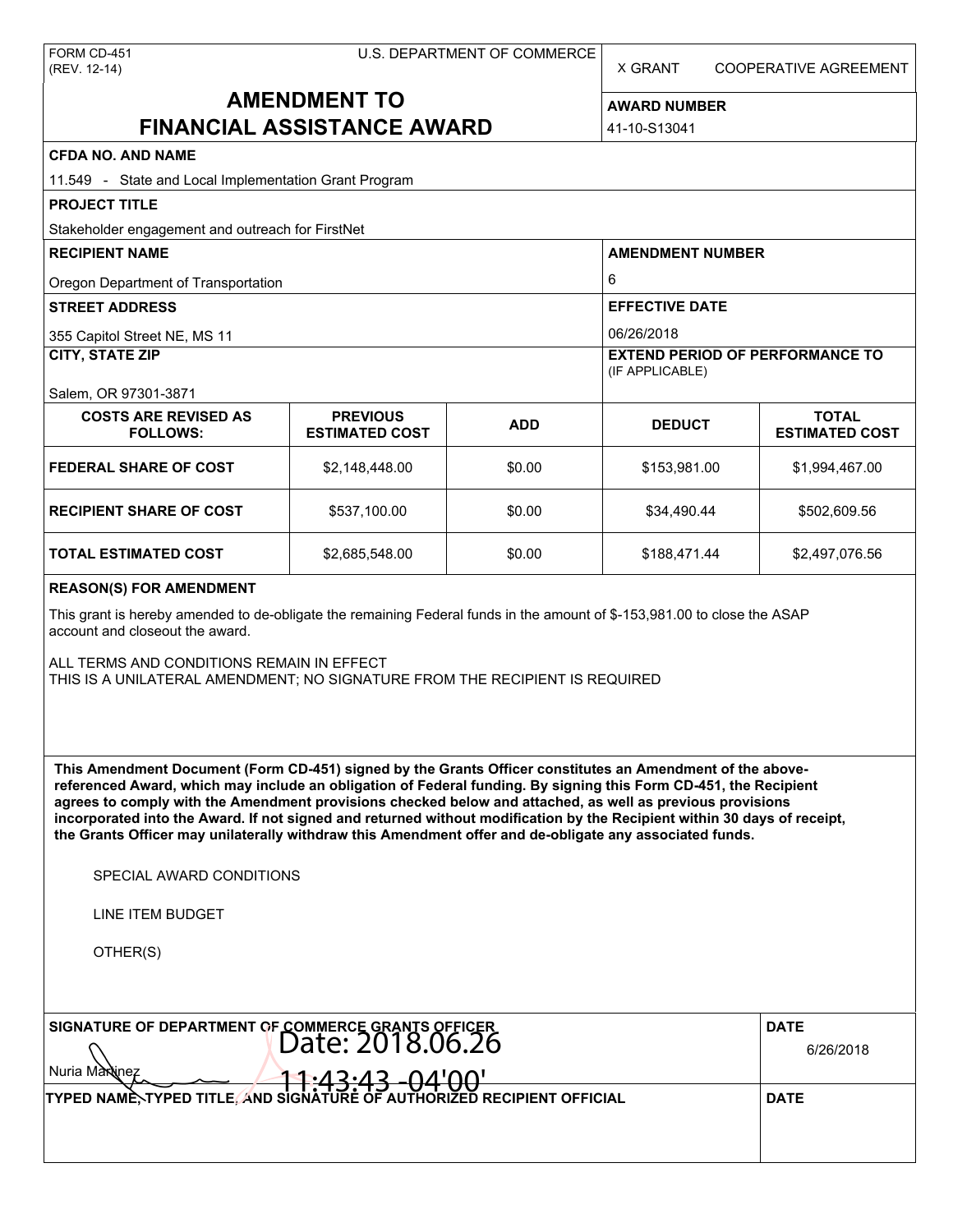X GRANT COOPERATIVE AGREEMENT

# **AMENDMENT TO FINANCIAL ASSISTANCE AWARD**

**AWARD NUMBER** 41-10-S13041

| <b>CFDA NO. AND NAME</b>                                                                                                                                                                                                                                                                                                                                                                                                                                                                                                                                                          |                                          |            |                                        |                                       |  |  |  |
|-----------------------------------------------------------------------------------------------------------------------------------------------------------------------------------------------------------------------------------------------------------------------------------------------------------------------------------------------------------------------------------------------------------------------------------------------------------------------------------------------------------------------------------------------------------------------------------|------------------------------------------|------------|----------------------------------------|---------------------------------------|--|--|--|
| 11.549 - State and Local Implementation Grant Program                                                                                                                                                                                                                                                                                                                                                                                                                                                                                                                             |                                          |            |                                        |                                       |  |  |  |
| <b>PROJECT TITLE</b>                                                                                                                                                                                                                                                                                                                                                                                                                                                                                                                                                              |                                          |            |                                        |                                       |  |  |  |
| Stakeholder engagement and outreach for FirstNet                                                                                                                                                                                                                                                                                                                                                                                                                                                                                                                                  |                                          |            |                                        |                                       |  |  |  |
| <b>RECIPIENT NAME</b>                                                                                                                                                                                                                                                                                                                                                                                                                                                                                                                                                             |                                          |            | <b>AMENDMENT NUMBER</b>                |                                       |  |  |  |
| Oregon Department of Transportation                                                                                                                                                                                                                                                                                                                                                                                                                                                                                                                                               |                                          |            | 6                                      |                                       |  |  |  |
| <b>STREET ADDRESS</b>                                                                                                                                                                                                                                                                                                                                                                                                                                                                                                                                                             |                                          |            | <b>EFFECTIVE DATE</b>                  |                                       |  |  |  |
| 355 Capitol Street NE, MS 11                                                                                                                                                                                                                                                                                                                                                                                                                                                                                                                                                      |                                          |            | 06/26/2018                             |                                       |  |  |  |
| <b>CITY, STATE ZIP</b>                                                                                                                                                                                                                                                                                                                                                                                                                                                                                                                                                            |                                          |            | <b>EXTEND PERIOD OF PERFORMANCE TO</b> |                                       |  |  |  |
| Salem, OR 97301-3871                                                                                                                                                                                                                                                                                                                                                                                                                                                                                                                                                              |                                          |            | (IF APPLICABLE)                        |                                       |  |  |  |
| <b>COSTS ARE REVISED AS</b><br><b>FOLLOWS:</b>                                                                                                                                                                                                                                                                                                                                                                                                                                                                                                                                    | <b>PREVIOUS</b><br><b>ESTIMATED COST</b> | <b>ADD</b> | <b>DEDUCT</b>                          | <b>TOTAL</b><br><b>ESTIMATED COST</b> |  |  |  |
| <b>FEDERAL SHARE OF COST</b>                                                                                                                                                                                                                                                                                                                                                                                                                                                                                                                                                      | \$2,148,448.00                           | \$0.00     | \$153,981.00                           | \$1,994,467.00                        |  |  |  |
| <b>RECIPIENT SHARE OF COST</b>                                                                                                                                                                                                                                                                                                                                                                                                                                                                                                                                                    | \$537,100.00                             | \$0.00     | \$34,490.44                            | \$502,609.56                          |  |  |  |
| <b>TOTAL ESTIMATED COST</b>                                                                                                                                                                                                                                                                                                                                                                                                                                                                                                                                                       | \$2,685,548.00                           | \$0.00     | \$188,471.44                           | \$2,497,076.56                        |  |  |  |
| <b>REASON(S) FOR AMENDMENT</b>                                                                                                                                                                                                                                                                                                                                                                                                                                                                                                                                                    |                                          |            |                                        |                                       |  |  |  |
| This grant is hereby amended to de-obligate the remaining Federal funds in the amount of \$-153,981.00 to close the ASAP<br>account and closeout the award.<br>ALL TERMS AND CONDITIONS REMAIN IN EFFECT<br>THIS IS A UNILATERAL AMENDMENT; NO SIGNATURE FROM THE RECIPIENT IS REQUIRED                                                                                                                                                                                                                                                                                           |                                          |            |                                        |                                       |  |  |  |
| This Amendment Document (Form CD-451) signed by the Grants Officer constitutes an Amendment of the above-<br>referenced Award, which may include an obligation of Federal funding. By signing this Form CD-451, the Recipient<br>agrees to comply with the Amendment provisions checked below and attached, as well as previous provisions<br>incorporated into the Award. If not signed and returned without modification by the Recipient within 30 days of receipt,<br>the Grants Officer may unilaterally withdraw this Amendment offer and de-obligate any associated funds. |                                          |            |                                        |                                       |  |  |  |
| SPECIAL AWARD CONDITIONS                                                                                                                                                                                                                                                                                                                                                                                                                                                                                                                                                          |                                          |            |                                        |                                       |  |  |  |
| <b>LINE ITEM BUDGET</b>                                                                                                                                                                                                                                                                                                                                                                                                                                                                                                                                                           |                                          |            |                                        |                                       |  |  |  |
| OTHER(S)                                                                                                                                                                                                                                                                                                                                                                                                                                                                                                                                                                          |                                          |            |                                        |                                       |  |  |  |
| SIGNATURE OF DEPARTMENT OF COMMERCE GRANTS OFFICER<br>Date: 2018.06.26<br>Nuria Maxinez                                                                                                                                                                                                                                                                                                                                                                                                                                                                                           | <b>DATE</b><br>6/26/2018                 |            |                                        |                                       |  |  |  |
| TYPED NAME, TYPED TITLE, AND SIGNATURE OF AUTHORIZED RECIPIENT OFFICIAL                                                                                                                                                                                                                                                                                                                                                                                                                                                                                                           | <u>1:43:43 -04'00'</u>                   |            |                                        | <b>DATE</b>                           |  |  |  |